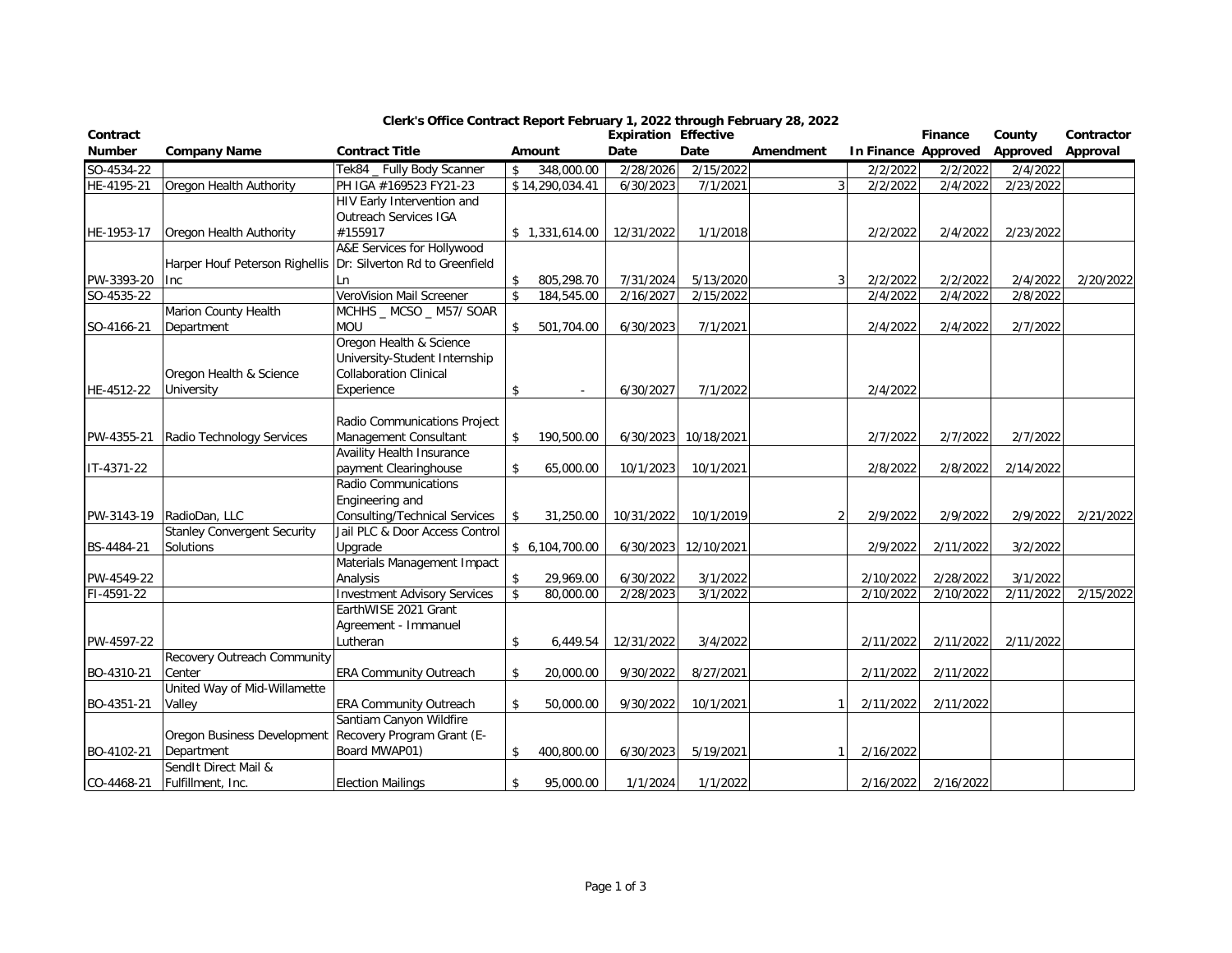| Contract      |                                                               |                                     |                  | <b>Expiration Effective</b> |                      |           |                |           | Finance             | County    | Contractor |
|---------------|---------------------------------------------------------------|-------------------------------------|------------------|-----------------------------|----------------------|-----------|----------------|-----------|---------------------|-----------|------------|
| <b>Number</b> | <b>Company Name</b>                                           | <b>Contract Title</b>               | Amount           | Date                        | Date                 | Amendment |                |           | In Finance Approved | Approved  | Approval   |
| SO-4534-22    |                                                               | Tek84 _ Fully Body Scanner          | \$<br>348,000.00 | 2/28/2026                   | 2/15/2022            |           |                | 2/2/2022  | 2/2/2022            | 2/4/2022  |            |
| HE-4195-21    | Oregon Health Authority                                       | PH IGA #169523 FY21-23              | \$14,290,034.41  | 6/30/2023                   | 7/1/2021             |           | $\overline{3}$ | 2/2/2022  | 2/4/2022            | 2/23/2022 |            |
|               |                                                               | <b>HIV Early Intervention and</b>   |                  |                             |                      |           |                |           |                     |           |            |
|               |                                                               | Outreach Services IGA               |                  |                             |                      |           |                |           |                     |           |            |
| HE-1953-17    | Oregon Health Authority                                       | #155917                             | \$1,331,614.00   | 12/31/2022                  | 1/1/2018             |           |                | 2/2/2022  | 2/4/2022            | 2/23/2022 |            |
|               |                                                               | A&E Services for Hollywood          |                  |                             |                      |           |                |           |                     |           |            |
|               | Harper Houf Peterson Righellis Dr: Silverton Rd to Greenfield |                                     |                  |                             |                      |           |                |           |                     |           |            |
| PW-3393-20    | Inc                                                           | Ln                                  | \$<br>805,298.70 | 7/31/2024                   | 5/13/2020            |           |                | 2/2/2022  | 2/2/2022            | 2/4/2022  | 2/20/2022  |
| SO-4535-22    |                                                               | VeroVision Mail Screener            | \$<br>184,545.00 | 2/16/2027                   | 2/15/2022            |           |                | 2/4/2022  | 2/4/2022            | 2/8/2022  |            |
|               | Marion County Health                                          | MCHHS _ MCSO _ M57/ SOAR            |                  |                             |                      |           |                |           |                     |           |            |
| SO-4166-21    | Department                                                    | <b>MOU</b>                          | \$<br>501,704.00 | 6/30/2023                   | 7/1/2021             |           |                | 2/4/2022  | 2/4/2022            | 2/7/2022  |            |
|               |                                                               | Oregon Health & Science             |                  |                             |                      |           |                |           |                     |           |            |
|               |                                                               | University-Student Internship       |                  |                             |                      |           |                |           |                     |           |            |
|               | Oregon Health & Science                                       | <b>Collaboration Clinical</b>       |                  |                             |                      |           |                |           |                     |           |            |
| HE-4512-22    | University                                                    | Experience                          | \$               | 6/30/2027                   | 7/1/2022             |           |                | 2/4/2022  |                     |           |            |
|               |                                                               |                                     |                  |                             |                      |           |                |           |                     |           |            |
|               |                                                               | Radio Communications Project        |                  |                             |                      |           |                |           |                     |           |            |
| PW-4355-21    | Radio Technology Services                                     | Management Consultant               | \$<br>190,500.00 | 6/30/2023                   | 10/18/2021           |           |                | 2/7/2022  | 2/7/2022            | 2/7/2022  |            |
|               |                                                               | <b>Availity Health Insurance</b>    |                  |                             |                      |           |                |           |                     |           |            |
| IT-4371-22    |                                                               | payment Clearinghouse               | \$<br>65,000.00  | 10/1/2023                   | 10/1/2021            |           |                | 2/8/2022  | 2/8/2022            | 2/14/2022 |            |
|               |                                                               | Radio Communications                |                  |                             |                      |           |                |           |                     |           |            |
|               |                                                               | Engineering and                     |                  |                             |                      |           |                |           |                     |           |            |
|               | PW-3143-19 RadioDan, LLC                                      | Consulting/Technical Services       | \$<br>31,250.00  | 10/31/2022                  | 10/1/2019            |           |                | 2/9/2022  | 2/9/2022            | 2/9/2022  | 2/21/2022  |
|               | <b>Stanley Convergent Security</b>                            | Jail PLC & Door Access Control      |                  |                             |                      |           |                |           |                     |           |            |
| BS-4484-21    | <b>Solutions</b>                                              | Upgrade                             | \$6,104,700.00   |                             | 6/30/2023 12/10/2021 |           |                | 2/9/2022  | 2/11/2022           | 3/2/2022  |            |
|               |                                                               | Materials Management Impact         |                  |                             |                      |           |                |           |                     |           |            |
| PW-4549-22    |                                                               | Analysis                            | \$<br>29,969.00  | 6/30/2022                   | 3/1/2022             |           |                | 2/10/2022 | 2/28/2022           | 3/1/2022  |            |
| FI-4591-22    |                                                               | <b>Investment Advisory Services</b> | \$<br>80,000.00  | 2/28/2023                   | 3/1/2022             |           |                | 2/10/2022 | 2/10/2022           | 2/11/2022 | 2/15/2022  |
|               |                                                               | EarthWISE 2021 Grant                |                  |                             |                      |           |                |           |                     |           |            |
|               |                                                               | Agreement - Immanuel                |                  |                             |                      |           |                |           |                     |           |            |
| PW-4597-22    |                                                               | Lutheran                            | \$<br>6,449.54   | 12/31/2022                  | 3/4/2022             |           |                | 2/11/2022 | 2/11/2022           | 2/11/2022 |            |
|               | Recovery Outreach Community                                   |                                     |                  |                             |                      |           |                |           |                     |           |            |
| BO-4310-21    | Center                                                        | <b>ERA Community Outreach</b>       | \$<br>20,000.00  | 9/30/2022                   | 8/27/2021            |           |                | 2/11/2022 | 2/11/2022           |           |            |
|               | United Way of Mid-Willamette                                  |                                     |                  |                             |                      |           |                |           |                     |           |            |
| BO-4351-21    | Valley                                                        | <b>ERA Community Outreach</b>       | \$<br>50,000.00  | 9/30/2022                   | 10/1/2021            |           |                | 2/11/2022 | 2/11/2022           |           |            |
|               |                                                               | Santiam Canyon Wildfire             |                  |                             |                      |           |                |           |                     |           |            |
|               | Oregon Business Development Recovery Program Grant (E-        |                                     |                  |                             |                      |           |                |           |                     |           |            |
| BO-4102-21    | Department                                                    | Board MWAP01)                       | \$<br>400,800.00 | 6/30/2023                   | 5/19/2021            |           |                | 2/16/2022 |                     |           |            |
|               | SendIt Direct Mail &                                          |                                     |                  |                             |                      |           |                |           |                     |           |            |
| CO-4468-21    | Fulfillment, Inc.                                             | <b>Election Mailings</b>            | \$<br>95,000.00  | 1/1/2024                    | 1/1/2022             |           |                | 2/16/2022 | 2/16/2022           |           |            |

## **Clerk's Office Contract Report February 1, 2022 through February 28, 2022**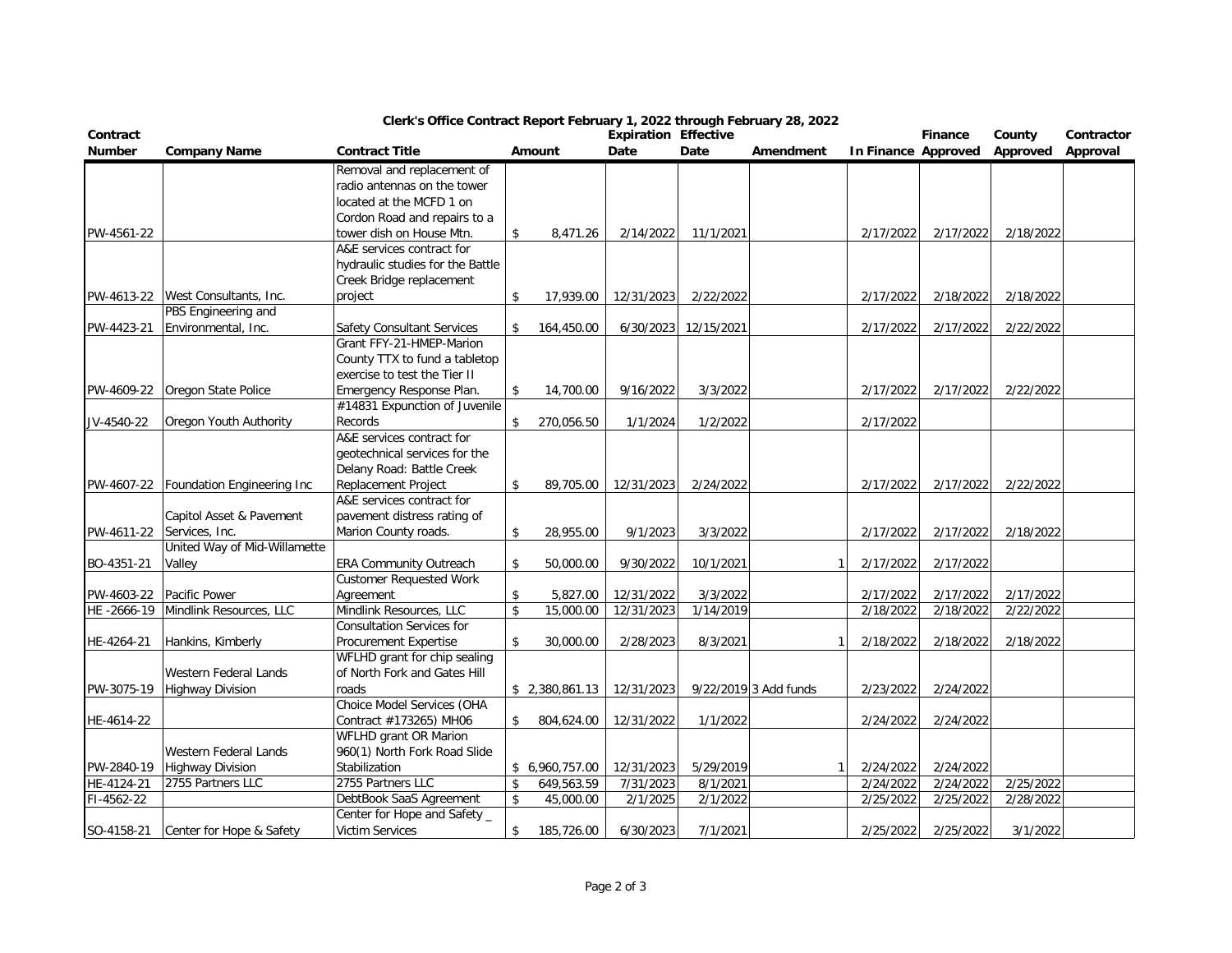| Contract      |                                       |                                                               |    |                | <b>Expiration Effective</b> |            |                       |                     | Finance   | County    | Contractor |
|---------------|---------------------------------------|---------------------------------------------------------------|----|----------------|-----------------------------|------------|-----------------------|---------------------|-----------|-----------|------------|
| <b>Number</b> | <b>Company Name</b>                   | <b>Contract Title</b>                                         |    | Amount         | Date                        | Date       | Amendment             | In Finance Approved |           | Approved  | Approval   |
|               |                                       | Removal and replacement of                                    |    |                |                             |            |                       |                     |           |           |            |
|               |                                       | radio antennas on the tower                                   |    |                |                             |            |                       |                     |           |           |            |
|               |                                       | located at the MCFD 1 on                                      |    |                |                             |            |                       |                     |           |           |            |
|               |                                       | Cordon Road and repairs to a                                  |    |                |                             |            |                       |                     |           |           |            |
| PW-4561-22    |                                       | tower dish on House Mtn.                                      | \$ | 8,471.26       | 2/14/2022                   | 11/1/2021  |                       | 2/17/2022           | 2/17/2022 | 2/18/2022 |            |
|               |                                       | A&E services contract for                                     |    |                |                             |            |                       |                     |           |           |            |
|               |                                       | hydraulic studies for the Battle                              |    |                |                             |            |                       |                     |           |           |            |
|               |                                       | Creek Bridge replacement                                      |    |                |                             |            |                       |                     |           |           |            |
|               | PW-4613-22 West Consultants, Inc.     | project                                                       | \$ | 17,939.00      | 12/31/2023                  | 2/22/2022  |                       | 2/17/2022           | 2/18/2022 | 2/18/2022 |            |
|               | PBS Engineering and                   |                                                               |    |                |                             |            |                       |                     |           |           |            |
| PW-4423-21    | Environmental, Inc.                   | <b>Safety Consultant Services</b>                             | \$ | 164,450.00     | 6/30/2023                   | 12/15/2021 |                       | 2/17/2022           | 2/17/2022 | 2/22/2022 |            |
|               |                                       | Grant FFY-21-HMEP-Marion                                      |    |                |                             |            |                       |                     |           |           |            |
|               |                                       | County TTX to fund a tabletop<br>exercise to test the Tier II |    |                |                             |            |                       |                     |           |           |            |
|               | PW-4609-22 Oregon State Police        | Emergency Response Plan.                                      | \$ | 14,700.00      | 9/16/2022                   | 3/3/2022   |                       | 2/17/2022           | 2/17/2022 | 2/22/2022 |            |
|               |                                       | #14831 Expunction of Juvenile                                 |    |                |                             |            |                       |                     |           |           |            |
| JV-4540-22    | Oregon Youth Authority                | Records                                                       | \$ | 270,056.50     | 1/1/2024                    | 1/2/2022   |                       | 2/17/2022           |           |           |            |
|               |                                       | A&E services contract for                                     |    |                |                             |            |                       |                     |           |           |            |
|               |                                       | geotechnical services for the                                 |    |                |                             |            |                       |                     |           |           |            |
|               |                                       | Delany Road: Battle Creek                                     |    |                |                             |            |                       |                     |           |           |            |
|               | PW-4607-22 Foundation Engineering Inc | Replacement Project                                           | \$ | 89,705.00      | 12/31/2023                  | 2/24/2022  |                       | 2/17/2022           | 2/17/2022 | 2/22/2022 |            |
|               |                                       | A&E services contract for                                     |    |                |                             |            |                       |                     |           |           |            |
|               | Capitol Asset & Pavement              | pavement distress rating of                                   |    |                |                             |            |                       |                     |           |           |            |
| PW-4611-22    | Services, Inc.                        | Marion County roads.                                          | \$ | 28,955.00      | 9/1/2023                    | 3/3/2022   |                       | 2/17/2022           | 2/17/2022 | 2/18/2022 |            |
|               | United Way of Mid-Willamette          |                                                               |    |                |                             |            |                       |                     |           |           |            |
| BO-4351-21    | Valley                                | <b>ERA Community Outreach</b>                                 | \$ | 50,000.00      | 9/30/2022                   | 10/1/2021  |                       | 2/17/2022           | 2/17/2022 |           |            |
|               |                                       | <b>Customer Requested Work</b>                                |    |                |                             |            |                       |                     |           |           |            |
| PW-4603-22    | Pacific Power                         | Agreement                                                     | \$ | 5,827.00       | 12/31/2022                  | 3/3/2022   |                       | 2/17/2022           | 2/17/2022 | 2/17/2022 |            |
| HE-2666-19    | Mindlink Resources, LLC               | Mindlink Resources, LLC                                       | \$ | 15,000.00      | 12/31/2023                  | 1/14/2019  |                       | 2/18/2022           | 2/18/2022 | 2/22/2022 |            |
|               |                                       | <b>Consultation Services for</b>                              |    |                |                             |            |                       |                     |           |           |            |
| HE-4264-21    | Hankins, Kimberly                     | <b>Procurement Expertise</b>                                  | \$ | 30,000.00      | 2/28/2023                   | 8/3/2021   |                       | 2/18/2022           | 2/18/2022 | 2/18/2022 |            |
|               |                                       | WFLHD grant for chip sealing                                  |    |                |                             |            |                       |                     |           |           |            |
|               | Western Federal Lands                 | of North Fork and Gates Hill                                  |    |                |                             |            |                       |                     |           |           |            |
| PW-3075-19    | Highway Division                      | roads                                                         |    | \$2,380,861.13 | 12/31/2023                  |            | 9/22/2019 3 Add funds | 2/23/2022           | 2/24/2022 |           |            |
|               |                                       | Choice Model Services (OHA                                    |    |                |                             |            |                       |                     |           |           |            |
| HE-4614-22    |                                       | Contract #173265) MH06                                        | \$ | 804,624.00     | 12/31/2022                  | 1/1/2022   |                       | 2/24/2022           | 2/24/2022 |           |            |
|               |                                       | WFLHD grant OR Marion                                         |    |                |                             |            |                       |                     |           |           |            |
|               | Western Federal Lands                 | 960(1) North Fork Road Slide                                  |    |                |                             |            |                       |                     |           |           |            |
| PW-2840-19    | <b>Highway Division</b>               | Stabilization                                                 |    | \$6,960,757.00 | 12/31/2023                  | 5/29/2019  |                       | 2/24/2022           | 2/24/2022 |           |            |
| HE-4124-21    | 2755 Partners LLC                     | 2755 Partners LLC                                             | \$ | 649,563.59     | 7/31/2023                   | 8/1/2021   |                       | 2/24/2022           | 2/24/2022 | 2/25/2022 |            |
| FI-4562-22    |                                       | DebtBook SaaS Agreement                                       | \$ | 45,000.00      | 2/1/2025                    | 2/1/2022   |                       | 2/25/2022           | 2/25/2022 | 2/28/2022 |            |
|               |                                       | Center for Hope and Safety _<br><b>Victim Services</b>        |    |                |                             | 7/1/2021   |                       | 2/25/2022           | 2/25/2022 | 3/1/2022  |            |
|               | SO-4158-21 Center for Hope & Safety   |                                                               | \$ | 185,726.00     | 6/30/2023                   |            |                       |                     |           |           |            |

## **Clerk's Office Contract Report February 1, 2022 through February 28, 2022**